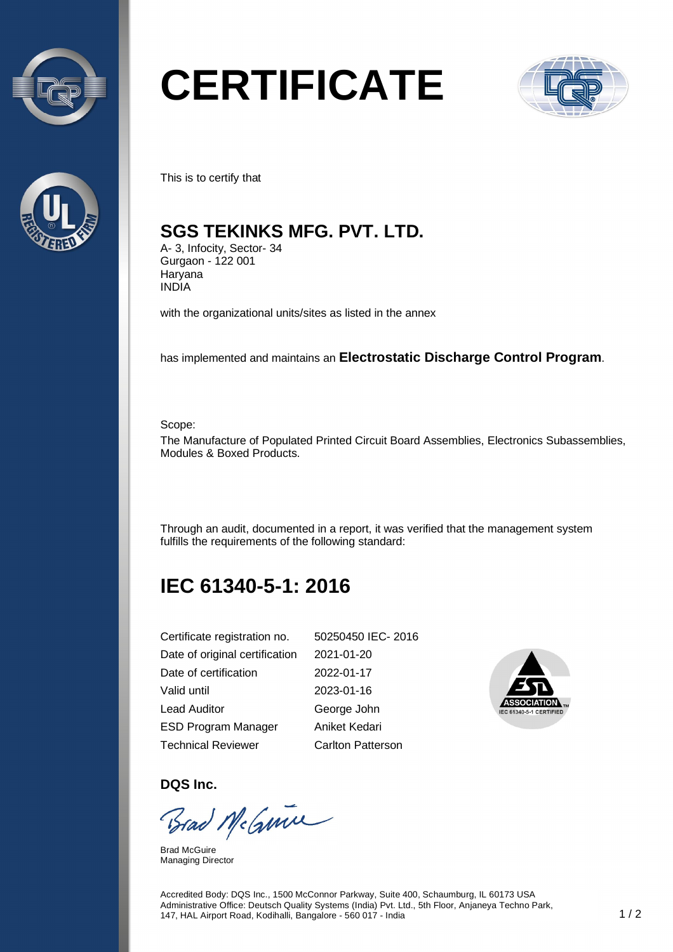



# **CERTIFICATE**



This is to certify that

#### **SGS TEKINKS MFG. PVT. LTD.**

A- 3, Infocity, Sector- 34 Gurgaon - 122 001 **Haryana** INDIA

with the organizational units/sites as listed in the annex

has implemented and maintains an **Electrostatic Discharge Control Program**.

Scope:

The Manufacture of Populated Printed Circuit Board Assemblies, Electronics Subassemblies, Modules & Boxed Products.

Through an audit, documented in a report, it was verified that the management system fulfills the requirements of the following standard:

## **IEC 61340-5-1: 2016**

| Certificate registration no.   | 50250450 IEC-2016        |
|--------------------------------|--------------------------|
| Date of original certification | 2021-01-20               |
| Date of certification          | 2022-01-17               |
| Valid until                    | 2023-01-16               |
| Lead Auditor                   | George John              |
| <b>ESD Program Manager</b>     | Aniket Kedari            |
| <b>Technical Reviewer</b>      | <b>Carlton Patterson</b> |



**DQS Inc.** 

Brad McGuine

Brad McGuire Managing Director

Accredited Body: DQS Inc., 1500 McConnor Parkway, Suite 400, Schaumburg, IL 60173 USA Administrative Office: Deutsch Quality Systems (India) Pvt. Ltd., 5th Floor, Anjaneya Techno Park, 147, HAL Airport Road, Kodihalli, Bangalore - 560 017 - India 1 / 2